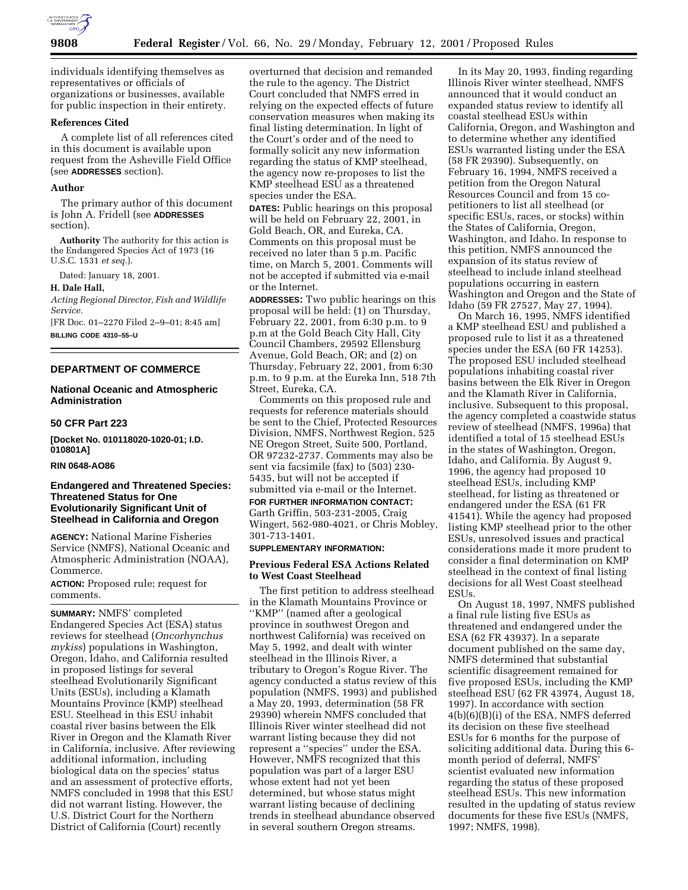

individuals identifying themselves as representatives or officials of organizations or businesses, available for public inspection in their entirety.

# **References Cited**

A complete list of all references cited in this document is available upon request from the Asheville Field Office (see **ADDRESSES** section).

### **Author**

The primary author of this document is John A. Fridell (see **ADDRESSES** section).

**Authority** The authority for this action is the Endangered Species Act of 1973 (16 U.S.C. 1531 *et seq.*).

Dated: January 18, 2001.

#### **H. Dale Hall,**

*Acting Regional Director, Fish and Wildlife Service.*

[FR Doc. 01–2270 Filed 2–9–01; 8:45 am] **BILLING CODE 4310–55–U**

# **DEPARTMENT OF COMMERCE**

# **National Oceanic and Atmospheric Administration**

### **50 CFR Part 223**

**[Docket No. 010118020-1020-01; I.D. 010801A]**

#### **RIN 0648-AO86**

## **Endangered and Threatened Species: Threatened Status for One Evolutionarily Significant Unit of Steelhead in California and Oregon**

**AGENCY:** National Marine Fisheries Service (NMFS), National Oceanic and Atmospheric Administration (NOAA), Commerce.

**ACTION:** Proposed rule; request for comments.

**SUMMARY:** NMFS' completed Endangered Species Act (ESA) status reviews for steelhead (*Oncorhynchus mykiss*) populations in Washington, Oregon, Idaho, and California resulted in proposed listings for several steelhead Evolutionarily Significant Units (ESUs), including a Klamath Mountains Province (KMP) steelhead ESU. Steelhead in this ESU inhabit coastal river basins between the Elk River in Oregon and the Klamath River in California, inclusive. After reviewing additional information, including biological data on the species' status and an assessment of protective efforts, NMFS concluded in 1998 that this ESU did not warrant listing. However, the U.S. District Court for the Northern District of California (Court) recently

overturned that decision and remanded the rule to the agency. The District Court concluded that NMFS erred in relying on the expected effects of future conservation measures when making its final listing determination. In light of the Court's order and of the need to formally solicit any new information regarding the status of KMP steelhead, the agency now re-proposes to list the KMP steelhead ESU as a threatened species under the ESA.

**DATES:** Public hearings on this proposal will be held on February 22, 2001, in Gold Beach, OR, and Eureka, CA. Comments on this proposal must be received no later than 5 p.m. Pacific time, on March 5, 2001. Comments will not be accepted if submitted via e-mail or the Internet.

**ADDRESSES:** Two public hearings on this proposal will be held: (1) on Thursday, February 22, 2001, from 6:30 p.m. to 9 p.m at the Gold Beach City Hall, City Council Chambers, 29592 Ellensburg Avenue, Gold Beach, OR; and (2) on Thursday, February 22, 2001, from 6:30 p.m. to 9 p.m. at the Eureka Inn, 518 7th Street, Eureka, CA.

Comments on this proposed rule and requests for reference materials should be sent to the Chief, Protected Resources Division, NMFS, Northwest Region, 525 NE Oregon Street, Suite 500, Portland, OR 97232-2737. Comments may also be sent via facsimile (fax) to (503) 230- 5435, but will not be accepted if submitted via e-mail or the Internet. **FOR FURTHER INFORMATION CONTACT:** Garth Griffin, 503-231-2005, Craig Wingert, 562-980-4021, or Chris Mobley, 301-713-1401.

# **SUPPLEMENTARY INFORMATION:**

## **Previous Federal ESA Actions Related to West Coast Steelhead**

The first petition to address steelhead in the Klamath Mountains Province or ''KMP'' (named after a geological province in southwest Oregon and northwest California) was received on May 5, 1992, and dealt with winter steelhead in the Illinois River, a tributary to Oregon's Rogue River. The agency conducted a status review of this population (NMFS, 1993) and published a May 20, 1993, determination (58 FR 29390) wherein NMFS concluded that Illinois River winter steelhead did not warrant listing because they did not represent a ''species'' under the ESA. However, NMFS recognized that this population was part of a larger ESU whose extent had not yet been determined, but whose status might warrant listing because of declining trends in steelhead abundance observed in several southern Oregon streams.

In its May 20, 1993, finding regarding Illinois River winter steelhead, NMFS announced that it would conduct an expanded status review to identify all coastal steelhead ESUs within California, Oregon, and Washington and to determine whether any identified ESUs warranted listing under the ESA (58 FR 29390). Subsequently, on February 16, 1994, NMFS received a petition from the Oregon Natural Resources Council and from 15 copetitioners to list all steelhead (or specific ESUs, races, or stocks) within the States of California, Oregon, Washington, and Idaho. In response to this petition, NMFS announced the expansion of its status review of steelhead to include inland steelhead populations occurring in eastern Washington and Oregon and the State of Idaho (59 FR 27527, May 27, 1994).

On March 16, 1995, NMFS identified a KMP steelhead ESU and published a proposed rule to list it as a threatened species under the ESA (60 FR 14253). The proposed ESU included steelhead populations inhabiting coastal river basins between the Elk River in Oregon and the Klamath River in California, inclusive. Subsequent to this proposal, the agency completed a coastwide status review of steelhead (NMFS, 1996a) that identified a total of 15 steelhead ESUs in the states of Washington, Oregon, Idaho, and California. By August 9, 1996, the agency had proposed 10 steelhead ESUs, including KMP steelhead, for listing as threatened or endangered under the ESA (61 FR 41541). While the agency had proposed listing KMP steelhead prior to the other ESUs, unresolved issues and practical considerations made it more prudent to consider a final determination on KMP steelhead in the context of final listing decisions for all West Coast steelhead ESUs.

On August 18, 1997, NMFS published a final rule listing five ESUs as threatened and endangered under the ESA (62 FR 43937). In a separate document published on the same day, NMFS determined that substantial scientific disagreement remained for five proposed ESUs, including the KMP steelhead ESU (62 FR 43974, August 18, 1997). In accordance with section 4(b)(6)(B)(i) of the ESA, NMFS deferred its decision on these five steelhead ESUs for 6 months for the purpose of soliciting additional data. During this 6 month period of deferral, NMFS' scientist evaluated new information regarding the status of these proposed steelhead ESUs. This new information resulted in the updating of status review documents for these five ESUs (NMFS, 1997; NMFS, 1998).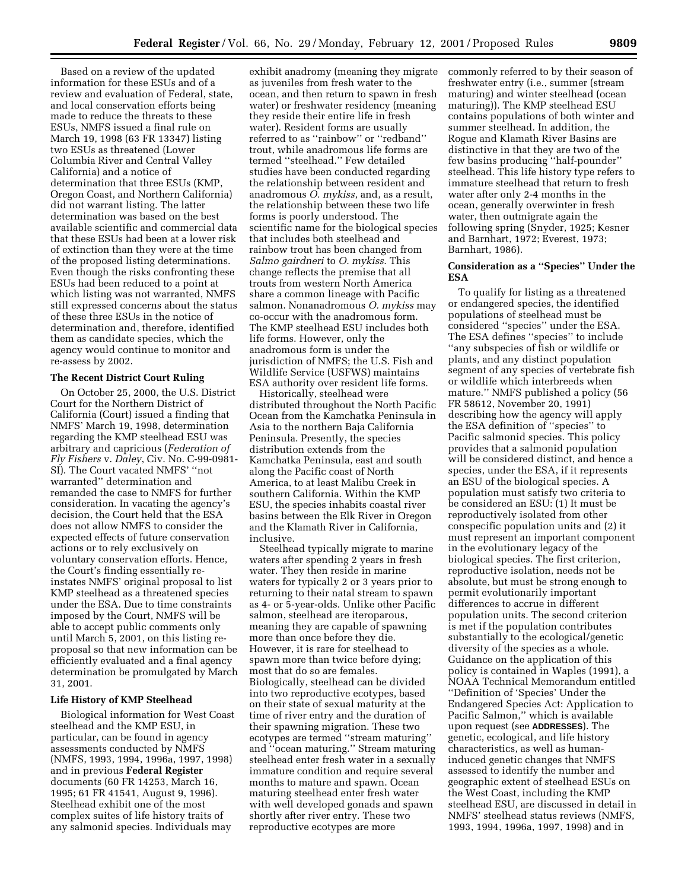Based on a review of the updated information for these ESUs and of a review and evaluation of Federal, state, and local conservation efforts being made to reduce the threats to these ESUs, NMFS issued a final rule on March 19, 1998 (63 FR 13347) listing two ESUs as threatened (Lower Columbia River and Central Valley California) and a notice of determination that three ESUs (KMP, Oregon Coast, and Northern California) did not warrant listing. The latter determination was based on the best available scientific and commercial data that these ESUs had been at a lower risk of extinction than they were at the time of the proposed listing determinations. Even though the risks confronting these ESUs had been reduced to a point at which listing was not warranted, NMFS still expressed concerns about the status of these three ESUs in the notice of determination and, therefore, identified them as candidate species, which the agency would continue to monitor and re-assess by 2002.

## **The Recent District Court Ruling**

On October 25, 2000, the U.S. District Court for the Northern District of California (Court) issued a finding that NMFS' March 19, 1998, determination regarding the KMP steelhead ESU was arbitrary and capricious (*Federation of Fly Fishers* v. *Daley*, Civ. No. C-99-0981- SI). The Court vacated NMFS' ''not warranted'' determination and remanded the case to NMFS for further consideration. In vacating the agency's decision, the Court held that the ESA does not allow NMFS to consider the expected effects of future conservation actions or to rely exclusively on voluntary conservation efforts. Hence, the Court's finding essentially reinstates NMFS' original proposal to list KMP steelhead as a threatened species under the ESA. Due to time constraints imposed by the Court, NMFS will be able to accept public comments only until March 5, 2001, on this listing reproposal so that new information can be efficiently evaluated and a final agency determination be promulgated by March 31, 2001.

### **Life History of KMP Steelhead**

Biological information for West Coast steelhead and the KMP ESU, in particular, can be found in agency assessments conducted by NMFS (NMFS, 1993, 1994, 1996a, 1997, 1998) and in previous **Federal Register** documents (60 FR 14253, March 16, 1995; 61 FR 41541, August 9, 1996). Steelhead exhibit one of the most complex suites of life history traits of any salmonid species. Individuals may

exhibit anadromy (meaning they migrate as juveniles from fresh water to the ocean, and then return to spawn in fresh water) or freshwater residency (meaning they reside their entire life in fresh water). Resident forms are usually referred to as ''rainbow'' or ''redband'' trout, while anadromous life forms are termed ''steelhead.'' Few detailed studies have been conducted regarding the relationship between resident and anadromous *O. mykiss*, and, as a result, the relationship between these two life forms is poorly understood. The scientific name for the biological species that includes both steelhead and rainbow trout has been changed from *Salmo gairdneri* to *O. mykiss*. This change reflects the premise that all trouts from western North America share a common lineage with Pacific salmon. Nonanadromous *O. mykiss* may co-occur with the anadromous form. The KMP steelhead ESU includes both life forms. However, only the anadromous form is under the jurisdiction of NMFS; the U.S. Fish and Wildlife Service (USFWS) maintains ESA authority over resident life forms.

Historically, steelhead were distributed throughout the North Pacific Ocean from the Kamchatka Peninsula in Asia to the northern Baja California Peninsula. Presently, the species distribution extends from the Kamchatka Peninsula, east and south along the Pacific coast of North America, to at least Malibu Creek in southern California. Within the KMP ESU, the species inhabits coastal river basins between the Elk River in Oregon and the Klamath River in California, inclusive.

Steelhead typically migrate to marine waters after spending 2 years in fresh water. They then reside in marine waters for typically 2 or 3 years prior to returning to their natal stream to spawn as 4- or 5-year-olds. Unlike other Pacific salmon, steelhead are iteroparous, meaning they are capable of spawning more than once before they die. However, it is rare for steelhead to spawn more than twice before dying; most that do so are females. Biologically, steelhead can be divided into two reproductive ecotypes, based on their state of sexual maturity at the time of river entry and the duration of their spawning migration. These two ecotypes are termed ''stream maturing'' and ''ocean maturing.'' Stream maturing steelhead enter fresh water in a sexually immature condition and require several months to mature and spawn. Ocean maturing steelhead enter fresh water with well developed gonads and spawn shortly after river entry. These two reproductive ecotypes are more

commonly referred to by their season of freshwater entry (i.e., summer (stream maturing) and winter steelhead (ocean maturing)). The KMP steelhead ESU contains populations of both winter and summer steelhead. In addition, the Rogue and Klamath River Basins are distinctive in that they are two of the few basins producing ''half-pounder'' steelhead. This life history type refers to immature steelhead that return to fresh water after only 2-4 months in the ocean, generally overwinter in fresh water, then outmigrate again the following spring (Snyder, 1925; Kesner and Barnhart, 1972; Everest, 1973; Barnhart, 1986).

# **Consideration as a ''Species'' Under the ESA**

To qualify for listing as a threatened or endangered species, the identified populations of steelhead must be considered ''species'' under the ESA. The ESA defines ''species'' to include ''any subspecies of fish or wildlife or plants, and any distinct population segment of any species of vertebrate fish or wildlife which interbreeds when mature.'' NMFS published a policy (56 FR 58612, November 20, 1991) describing how the agency will apply the ESA definition of ''species'' to Pacific salmonid species. This policy provides that a salmonid population will be considered distinct, and hence a species, under the ESA, if it represents an ESU of the biological species. A population must satisfy two criteria to be considered an ESU: (1) It must be reproductively isolated from other conspecific population units and (2) it must represent an important component in the evolutionary legacy of the biological species. The first criterion, reproductive isolation, needs not be absolute, but must be strong enough to permit evolutionarily important differences to accrue in different population units. The second criterion is met if the population contributes substantially to the ecological/genetic diversity of the species as a whole. Guidance on the application of this policy is contained in Waples (1991), a NOAA Technical Memorandum entitled ''Definition of 'Species' Under the Endangered Species Act: Application to Pacific Salmon,'' which is available upon request (see **ADDRESSES**). The genetic, ecological, and life history characteristics, as well as humaninduced genetic changes that NMFS assessed to identify the number and geographic extent of steelhead ESUs on the West Coast, including the KMP steelhead ESU, are discussed in detail in NMFS' steelhead status reviews (NMFS, 1993, 1994, 1996a, 1997, 1998) and in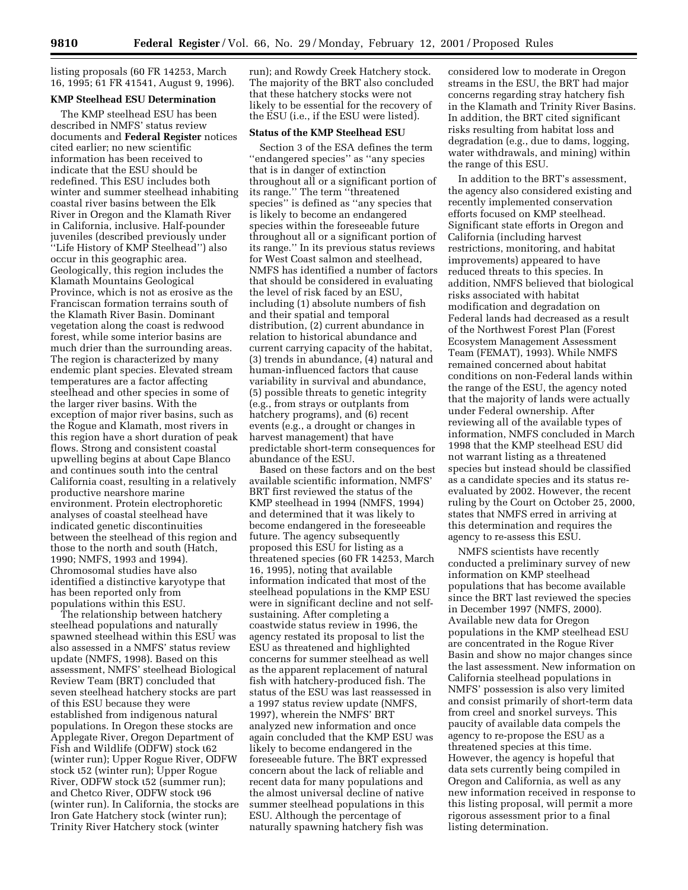listing proposals (60 FR 14253, March 16, 1995; 61 FR 41541, August 9, 1996).

## **KMP Steelhead ESU Determination**

The KMP steelhead ESU has been described in NMFS' status review documents and **Federal Register** notices cited earlier; no new scientific information has been received to indicate that the ESU should be redefined. This ESU includes both winter and summer steelhead inhabiting coastal river basins between the Elk River in Oregon and the Klamath River in California, inclusive. Half-pounder juveniles (described previously under ''Life History of KMP Steelhead'') also occur in this geographic area. Geologically, this region includes the Klamath Mountains Geological Province, which is not as erosive as the Franciscan formation terrains south of the Klamath River Basin. Dominant vegetation along the coast is redwood forest, while some interior basins are much drier than the surrounding areas. The region is characterized by many endemic plant species. Elevated stream temperatures are a factor affecting steelhead and other species in some of the larger river basins. With the exception of major river basins, such as the Rogue and Klamath, most rivers in this region have a short duration of peak flows. Strong and consistent coastal upwelling begins at about Cape Blanco and continues south into the central California coast, resulting in a relatively productive nearshore marine environment. Protein electrophoretic analyses of coastal steelhead have indicated genetic discontinuities between the steelhead of this region and those to the north and south (Hatch, 1990; NMFS, 1993 and 1994). Chromosomal studies have also identified a distinctive karyotype that has been reported only from populations within this ESU.

The relationship between hatchery steelhead populations and naturally spawned steelhead within this ESU was also assessed in a NMFS' status review update (NMFS, 1998). Based on this assessment, NMFS' steelhead Biological Review Team (BRT) concluded that seven steelhead hatchery stocks are part of this ESU because they were established from indigenous natural populations. In Oregon these stocks are Applegate River, Oregon Department of Fish and Wildlife (ODFW) stock ι62 (winter run); Upper Rogue River, ODFW stock ι52 (winter run); Upper Rogue River, ODFW stock ι52 (summer run); and Chetco River, ODFW stock ι96 (winter run). In California, the stocks are Iron Gate Hatchery stock (winter run); Trinity River Hatchery stock (winter

run); and Rowdy Creek Hatchery stock. The majority of the BRT also concluded that these hatchery stocks were not likely to be essential for the recovery of the ESU (i.e., if the ESU were listed).

#### **Status of the KMP Steelhead ESU**

Section 3 of the ESA defines the term ''endangered species'' as ''any species that is in danger of extinction throughout all or a significant portion of its range.'' The term ''threatened species'' is defined as ''any species that is likely to become an endangered species within the foreseeable future throughout all or a significant portion of its range.'' In its previous status reviews for West Coast salmon and steelhead, NMFS has identified a number of factors that should be considered in evaluating the level of risk faced by an ESU, including (1) absolute numbers of fish and their spatial and temporal distribution, (2) current abundance in relation to historical abundance and current carrying capacity of the habitat, (3) trends in abundance, (4) natural and human-influenced factors that cause variability in survival and abundance, (5) possible threats to genetic integrity (e.g., from strays or outplants from hatchery programs), and (6) recent events (e.g., a drought or changes in harvest management) that have predictable short-term consequences for abundance of the ESU.

Based on these factors and on the best available scientific information, NMFS' BRT first reviewed the status of the KMP steelhead in 1994 (NMFS, 1994) and determined that it was likely to become endangered in the foreseeable future. The agency subsequently proposed this ESU for listing as a threatened species (60 FR 14253, March 16, 1995), noting that available information indicated that most of the steelhead populations in the KMP ESU were in significant decline and not selfsustaining. After completing a coastwide status review in 1996, the agency restated its proposal to list the ESU as threatened and highlighted concerns for summer steelhead as well as the apparent replacement of natural fish with hatchery-produced fish. The status of the ESU was last reassessed in a 1997 status review update (NMFS, 1997), wherein the NMFS' BRT analyzed new information and once again concluded that the KMP ESU was likely to become endangered in the foreseeable future. The BRT expressed concern about the lack of reliable and recent data for many populations and the almost universal decline of native summer steelhead populations in this ESU. Although the percentage of naturally spawning hatchery fish was

considered low to moderate in Oregon streams in the ESU, the BRT had major concerns regarding stray hatchery fish in the Klamath and Trinity River Basins. In addition, the BRT cited significant risks resulting from habitat loss and degradation (e.g., due to dams, logging, water withdrawals, and mining) within the range of this ESU.

In addition to the BRT's assessment, the agency also considered existing and recently implemented conservation efforts focused on KMP steelhead. Significant state efforts in Oregon and California (including harvest restrictions, monitoring, and habitat improvements) appeared to have reduced threats to this species. In addition, NMFS believed that biological risks associated with habitat modification and degradation on Federal lands had decreased as a result of the Northwest Forest Plan (Forest Ecosystem Management Assessment Team (FEMAT), 1993). While NMFS remained concerned about habitat conditions on non-Federal lands within the range of the ESU, the agency noted that the majority of lands were actually under Federal ownership. After reviewing all of the available types of information, NMFS concluded in March 1998 that the KMP steelhead ESU did not warrant listing as a threatened species but instead should be classified as a candidate species and its status reevaluated by 2002. However, the recent ruling by the Court on October 25, 2000, states that NMFS erred in arriving at this determination and requires the agency to re-assess this ESU.

NMFS scientists have recently conducted a preliminary survey of new information on KMP steelhead populations that has become available since the BRT last reviewed the species in December 1997 (NMFS, 2000). Available new data for Oregon populations in the KMP steelhead ESU are concentrated in the Rogue River Basin and show no major changes since the last assessment. New information on California steelhead populations in NMFS' possession is also very limited and consist primarily of short-term data from creel and snorkel surveys. This paucity of available data compels the agency to re-propose the ESU as a threatened species at this time. However, the agency is hopeful that data sets currently being compiled in Oregon and California, as well as any new information received in response to this listing proposal, will permit a more rigorous assessment prior to a final listing determination.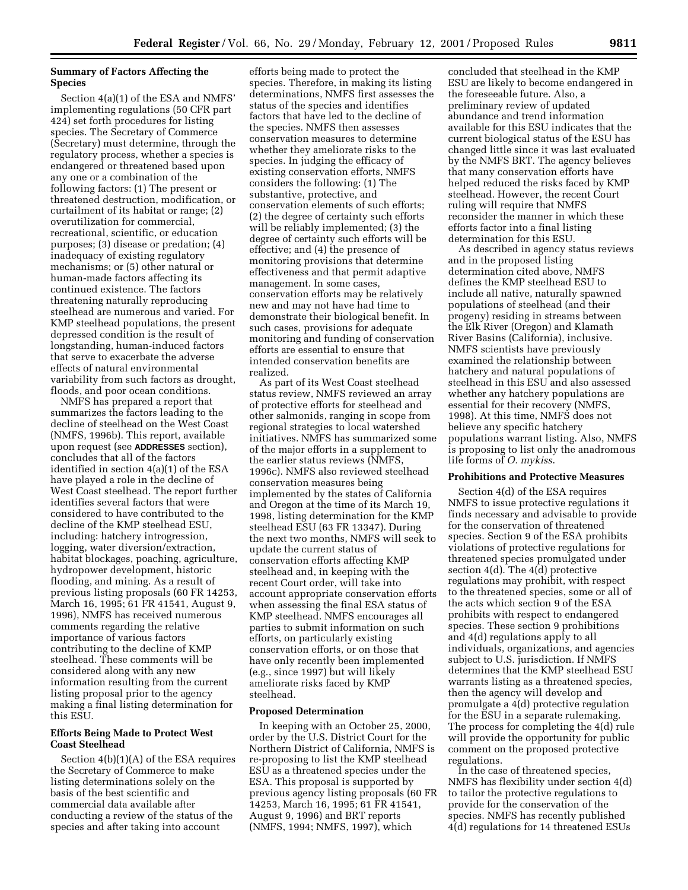# **Summary of Factors Affecting the Species**

Section 4(a)(1) of the ESA and NMFS' implementing regulations (50 CFR part 424) set forth procedures for listing species. The Secretary of Commerce (Secretary) must determine, through the regulatory process, whether a species is endangered or threatened based upon any one or a combination of the following factors: (1) The present or threatened destruction, modification, or curtailment of its habitat or range; (2) overutilization for commercial, recreational, scientific, or education purposes; (3) disease or predation; (4) inadequacy of existing regulatory mechanisms; or (5) other natural or human-made factors affecting its continued existence. The factors threatening naturally reproducing steelhead are numerous and varied. For KMP steelhead populations, the present depressed condition is the result of longstanding, human-induced factors that serve to exacerbate the adverse effects of natural environmental variability from such factors as drought, floods, and poor ocean conditions.

NMFS has prepared a report that summarizes the factors leading to the decline of steelhead on the West Coast (NMFS, 1996b). This report, available upon request (see **ADDRESSES** section), concludes that all of the factors identified in section 4(a)(1) of the ESA have played a role in the decline of West Coast steelhead. The report further identifies several factors that were considered to have contributed to the decline of the KMP steelhead ESU, including: hatchery introgression, logging, water diversion/extraction, habitat blockages, poaching, agriculture, hydropower development, historic flooding, and mining. As a result of previous listing proposals (60 FR 14253, March 16, 1995; 61 FR 41541, August 9, 1996), NMFS has received numerous comments regarding the relative importance of various factors contributing to the decline of KMP steelhead. These comments will be considered along with any new information resulting from the current listing proposal prior to the agency making a final listing determination for this ESU.

# **Efforts Being Made to Protect West Coast Steelhead**

Section 4(b)(1)(A) of the ESA requires the Secretary of Commerce to make listing determinations solely on the basis of the best scientific and commercial data available after conducting a review of the status of the species and after taking into account

efforts being made to protect the species. Therefore, in making its listing determinations, NMFS first assesses the status of the species and identifies factors that have led to the decline of the species. NMFS then assesses conservation measures to determine whether they ameliorate risks to the species. In judging the efficacy of existing conservation efforts, NMFS considers the following: (1) The substantive, protective, and conservation elements of such efforts; (2) the degree of certainty such efforts will be reliably implemented; (3) the degree of certainty such efforts will be effective; and (4) the presence of monitoring provisions that determine effectiveness and that permit adaptive management. In some cases, conservation efforts may be relatively new and may not have had time to demonstrate their biological benefit. In such cases, provisions for adequate monitoring and funding of conservation efforts are essential to ensure that intended conservation benefits are realized.

As part of its West Coast steelhead status review, NMFS reviewed an array of protective efforts for steelhead and other salmonids, ranging in scope from regional strategies to local watershed initiatives. NMFS has summarized some of the major efforts in a supplement to the earlier status reviews (NMFS, 1996c). NMFS also reviewed steelhead conservation measures being implemented by the states of California and Oregon at the time of its March 19, 1998, listing determination for the KMP steelhead ESU (63 FR 13347). During the next two months, NMFS will seek to update the current status of conservation efforts affecting KMP steelhead and, in keeping with the recent Court order, will take into account appropriate conservation efforts when assessing the final ESA status of KMP steelhead. NMFS encourages all parties to submit information on such efforts, on particularly existing conservation efforts, or on those that have only recently been implemented (e.g., since 1997) but will likely ameliorate risks faced by KMP steelhead.

## **Proposed Determination**

In keeping with an October 25, 2000, order by the U.S. District Court for the Northern District of California, NMFS is re-proposing to list the KMP steelhead ESU as a threatened species under the ESA. This proposal is supported by previous agency listing proposals (60 FR 14253, March 16, 1995; 61 FR 41541, August 9, 1996) and BRT reports (NMFS, 1994; NMFS, 1997), which

concluded that steelhead in the KMP ESU are likely to become endangered in the foreseeable future. Also, a preliminary review of updated abundance and trend information available for this ESU indicates that the current biological status of the ESU has changed little since it was last evaluated by the NMFS BRT. The agency believes that many conservation efforts have helped reduced the risks faced by KMP steelhead. However, the recent Court ruling will require that NMFS reconsider the manner in which these efforts factor into a final listing determination for this ESU.

As described in agency status reviews and in the proposed listing determination cited above, NMFS defines the KMP steelhead ESU to include all native, naturally spawned populations of steelhead (and their progeny) residing in streams between the Elk River (Oregon) and Klamath River Basins (California), inclusive. NMFS scientists have previously examined the relationship between hatchery and natural populations of steelhead in this ESU and also assessed whether any hatchery populations are essential for their recovery (NMFS, 1998). At this time, NMFS does not believe any specific hatchery populations warrant listing. Also, NMFS is proposing to list only the anadromous life forms of *O. mykiss*.

### **Prohibitions and Protective Measures**

Section 4(d) of the ESA requires NMFS to issue protective regulations it finds necessary and advisable to provide for the conservation of threatened species. Section 9 of the ESA prohibits violations of protective regulations for threatened species promulgated under section 4(d). The 4(d) protective regulations may prohibit, with respect to the threatened species, some or all of the acts which section 9 of the ESA prohibits with respect to endangered species. These section 9 prohibitions and 4(d) regulations apply to all individuals, organizations, and agencies subject to U.S. jurisdiction. If NMFS determines that the KMP steelhead ESU warrants listing as a threatened species, then the agency will develop and promulgate a 4(d) protective regulation for the ESU in a separate rulemaking. The process for completing the 4(d) rule will provide the opportunity for public comment on the proposed protective regulations.

In the case of threatened species, NMFS has flexibility under section 4(d) to tailor the protective regulations to provide for the conservation of the species. NMFS has recently published 4(d) regulations for 14 threatened ESUs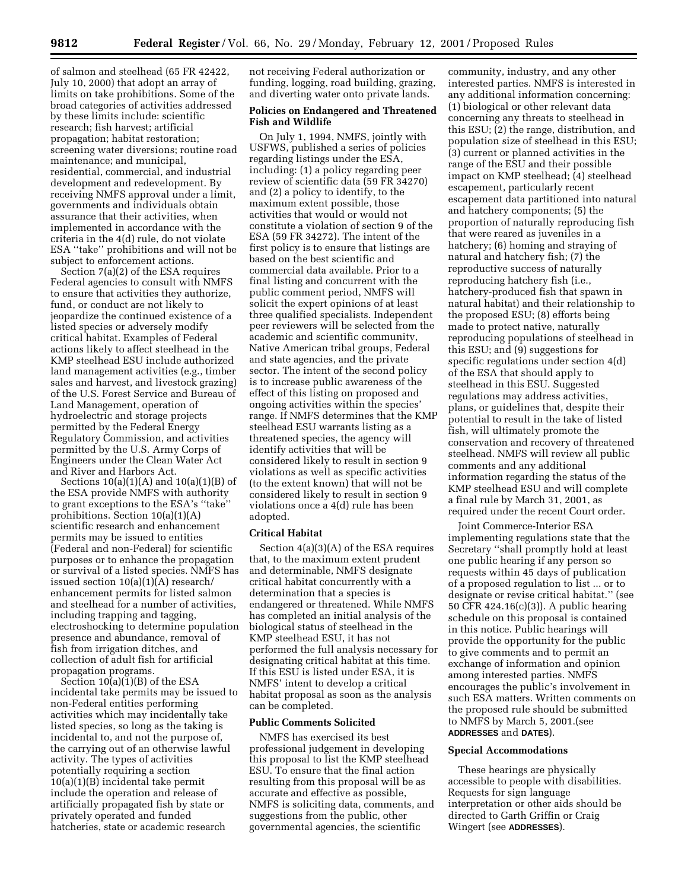of salmon and steelhead (65 FR 42422, July 10, 2000) that adopt an array of limits on take prohibitions. Some of the broad categories of activities addressed by these limits include: scientific research; fish harvest; artificial propagation; habitat restoration; screening water diversions; routine road maintenance; and municipal, residential, commercial, and industrial development and redevelopment. By receiving NMFS approval under a limit, governments and individuals obtain assurance that their activities, when implemented in accordance with the criteria in the 4(d) rule, do not violate ESA ''take'' prohibitions and will not be subject to enforcement actions.

Section 7(a)(2) of the ESA requires Federal agencies to consult with NMFS to ensure that activities they authorize, fund, or conduct are not likely to jeopardize the continued existence of a listed species or adversely modify critical habitat. Examples of Federal actions likely to affect steelhead in the KMP steelhead ESU include authorized land management activities (e.g., timber sales and harvest, and livestock grazing) of the U.S. Forest Service and Bureau of Land Management, operation of hydroelectric and storage projects permitted by the Federal Energy Regulatory Commission, and activities permitted by the U.S. Army Corps of Engineers under the Clean Water Act and River and Harbors Act.

Sections 10(a)(1)(A) and 10(a)(1)(B) of the ESA provide NMFS with authority to grant exceptions to the ESA's ''take'' prohibitions. Section 10(a)(1)(A) scientific research and enhancement permits may be issued to entities (Federal and non-Federal) for scientific purposes or to enhance the propagation or survival of a listed species. NMFS has issued section 10(a)(1)(A) research/ enhancement permits for listed salmon and steelhead for a number of activities, including trapping and tagging, electroshocking to determine population presence and abundance, removal of fish from irrigation ditches, and collection of adult fish for artificial propagation programs.

Section 10(a)(1)(B) of the ESA incidental take permits may be issued to non-Federal entities performing activities which may incidentally take listed species, so long as the taking is incidental to, and not the purpose of, the carrying out of an otherwise lawful activity. The types of activities potentially requiring a section 10(a)(1)(B) incidental take permit include the operation and release of artificially propagated fish by state or privately operated and funded hatcheries, state or academic research

not receiving Federal authorization or funding, logging, road building, grazing, and diverting water onto private lands.

# **Policies on Endangered and Threatened Fish and Wildlife**

On July 1, 1994, NMFS, jointly with USFWS, published a series of policies regarding listings under the ESA, including: (1) a policy regarding peer review of scientific data (59 FR 34270) and (2) a policy to identify, to the maximum extent possible, those activities that would or would not constitute a violation of section 9 of the ESA (59 FR 34272). The intent of the first policy is to ensure that listings are based on the best scientific and commercial data available. Prior to a final listing and concurrent with the public comment period, NMFS will solicit the expert opinions of at least three qualified specialists. Independent peer reviewers will be selected from the academic and scientific community, Native American tribal groups, Federal and state agencies, and the private sector. The intent of the second policy is to increase public awareness of the effect of this listing on proposed and ongoing activities within the species' range. If NMFS determines that the KMP steelhead ESU warrants listing as a threatened species, the agency will identify activities that will be considered likely to result in section 9 violations as well as specific activities (to the extent known) that will not be considered likely to result in section 9 violations once a 4(d) rule has been adopted.

#### **Critical Habitat**

Section 4(a)(3)(A) of the ESA requires that, to the maximum extent prudent and determinable, NMFS designate critical habitat concurrently with a determination that a species is endangered or threatened. While NMFS has completed an initial analysis of the biological status of steelhead in the KMP steelhead ESU, it has not performed the full analysis necessary for designating critical habitat at this time. If this ESU is listed under ESA, it is NMFS' intent to develop a critical habitat proposal as soon as the analysis can be completed.

## **Public Comments Solicited**

NMFS has exercised its best professional judgement in developing this proposal to list the KMP steelhead ESU. To ensure that the final action resulting from this proposal will be as accurate and effective as possible, NMFS is soliciting data, comments, and suggestions from the public, other governmental agencies, the scientific

community, industry, and any other interested parties. NMFS is interested in any additional information concerning: (1) biological or other relevant data concerning any threats to steelhead in this ESU; (2) the range, distribution, and population size of steelhead in this ESU; (3) current or planned activities in the range of the ESU and their possible impact on KMP steelhead; (4) steelhead escapement, particularly recent escapement data partitioned into natural and hatchery components; (5) the proportion of naturally reproducing fish that were reared as juveniles in a hatchery; (6) homing and straying of natural and hatchery fish; (7) the reproductive success of naturally reproducing hatchery fish (i.e., hatchery-produced fish that spawn in natural habitat) and their relationship to the proposed ESU; (8) efforts being made to protect native, naturally reproducing populations of steelhead in this ESU; and (9) suggestions for specific regulations under section 4(d) of the ESA that should apply to steelhead in this ESU. Suggested regulations may address activities, plans, or guidelines that, despite their potential to result in the take of listed fish, will ultimately promote the conservation and recovery of threatened steelhead. NMFS will review all public comments and any additional information regarding the status of the KMP steelhead ESU and will complete a final rule by March 31, 2001, as required under the recent Court order.

Joint Commerce-Interior ESA implementing regulations state that the Secretary ''shall promptly hold at least one public hearing if any person so requests within 45 days of publication of a proposed regulation to list ... or to designate or revise critical habitat.'' (see 50 CFR 424.16(c)(3)). A public hearing schedule on this proposal is contained in this notice. Public hearings will provide the opportunity for the public to give comments and to permit an exchange of information and opinion among interested parties. NMFS encourages the public's involvement in such ESA matters. Written comments on the proposed rule should be submitted to NMFS by March 5, 2001.(see **ADDRESSES** and **DATES**).

### **Special Accommodations**

These hearings are physically accessible to people with disabilities. Requests for sign language interpretation or other aids should be directed to Garth Griffin or Craig Wingert (see **ADDRESSES**).